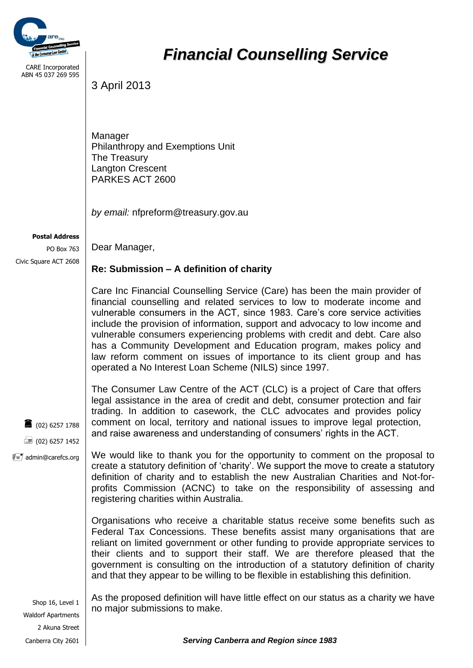

CARE Incorporated ABN 45 037 269 595

## *Financial Counselling Service*

3 April 2013

Manager Philanthropy and Exemptions Unit The Treasury Langton Crescent PARKES ACT 2600

*by email:* nfpreform@treasury.gov.au

## **Postal Address**

PO Box 763 Civic Square ACT 2608

Dear Manager,

## **Re: Submission – A definition of charity**

Care Inc Financial Counselling Service (Care) has been the main provider of financial counselling and related services to low to moderate income and vulnerable consumers in the ACT, since 1983. Care's core service activities include the provision of information, support and advocacy to low income and vulnerable consumers experiencing problems with credit and debt. Care also has a Community Development and Education program, makes policy and law reform comment on issues of importance to its client group and has operated a No Interest Loan Scheme (NILS) since 1997.

 $(02)$  6257 1788  $\equiv$  (02) 6257 1452 The Consumer Law Centre of the ACT (CLC) is a project of Care that offers legal assistance in the area of credit and debt, consumer protection and fair trading. In addition to casework, the CLC advocates and provides policy comment on local, territory and national issues to improve legal protection, and raise awareness and understanding of consumers' rights in the ACT.

 $\overline{\overline{z}} = \overline{z}$  admin@carefcs.org We would like to thank you for the opportunity to comment on the proposal to create a statutory definition of 'charity'. We support the move to create a statutory definition of charity and to establish the new Australian Charities and Not-forprofits Commission (ACNC) to take on the responsibility of assessing and registering charities within Australia.

> Organisations who receive a charitable status receive some benefits such as Federal Tax Concessions. These benefits assist many organisations that are reliant on limited government or other funding to provide appropriate services to their clients and to support their staff. We are therefore pleased that the government is consulting on the introduction of a statutory definition of charity and that they appear to be willing to be flexible in establishing this definition.

Shop 16, Level 1 Waldorf Apartments 2 Akuna Street As the proposed definition will have little effect on our status as a charity we have no major submissions to make.